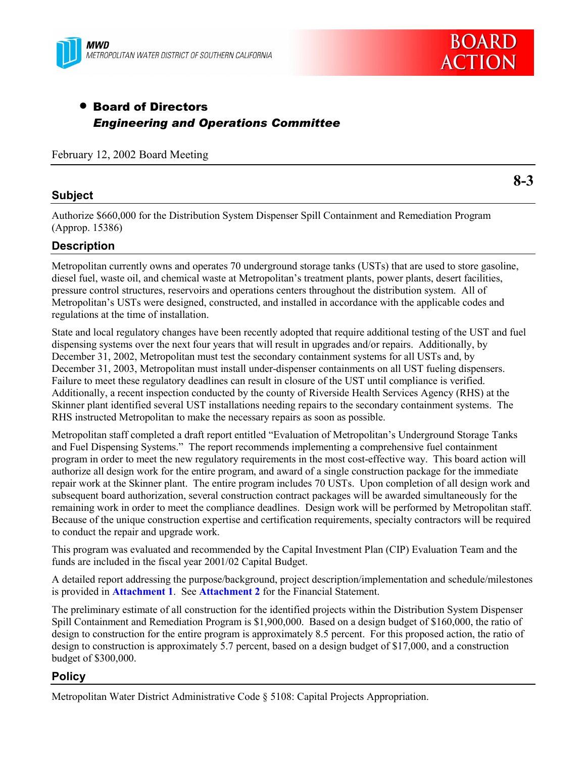



# • Board of Directors *Engineering and Operations Committee*

February 12, 2002 Board Meeting

### **Subject**

**8-3**

Authorize \$660,000 for the Distribution System Dispenser Spill Containment and Remediation Program (Approp. 15386)

### **Description**

Metropolitan currently owns and operates 70 underground storage tanks (USTs) that are used to store gasoline, diesel fuel, waste oil, and chemical waste at Metropolitan's treatment plants, power plants, desert facilities, pressure control structures, reservoirs and operations centers throughout the distribution system. All of Metropolitanís USTs were designed, constructed, and installed in accordance with the applicable codes and regulations at the time of installation.

State and local regulatory changes have been recently adopted that require additional testing of the UST and fuel dispensing systems over the next four years that will result in upgrades and/or repairs. Additionally, by December 31, 2002, Metropolitan must test the secondary containment systems for all USTs and, by December 31, 2003, Metropolitan must install under-dispenser containments on all UST fueling dispensers. Failure to meet these regulatory deadlines can result in closure of the UST until compliance is verified. Additionally, a recent inspection conducted by the county of Riverside Health Services Agency (RHS) at the Skinner plant identified several UST installations needing repairs to the secondary containment systems. The RHS instructed Metropolitan to make the necessary repairs as soon as possible.

Metropolitan staff completed a draft report entitled "Evaluation of Metropolitan's Underground Storage Tanks and Fuel Dispensing Systems." The report recommends implementing a comprehensive fuel containment program in order to meet the new regulatory requirements in the most cost-effective way. This board action will authorize all design work for the entire program, and award of a single construction package for the immediate repair work at the Skinner plant. The entire program includes 70 USTs. Upon completion of all design work and subsequent board authorization, several construction contract packages will be awarded simultaneously for the remaining work in order to meet the compliance deadlines. Design work will be performed by Metropolitan staff. Because of the unique construction expertise and certification requirements, specialty contractors will be required to conduct the repair and upgrade work.

This program was evaluated and recommended by the Capital Investment Plan (CIP) Evaluation Team and the funds are included in the fiscal year 2001/02 Capital Budget.

A detailed report addressing the purpose/background, project description/implementation and schedule/milestones is provided in **Attachment 1**. See **Attachment 2** for the Financial Statement.

The preliminary estimate of all construction for the identified projects within the Distribution System Dispenser Spill Containment and Remediation Program is \$1,900,000. Based on a design budget of \$160,000, the ratio of design to construction for the entire program is approximately 8.5 percent. For this proposed action, the ratio of design to construction is approximately 5.7 percent, based on a design budget of \$17,000, and a construction budget of \$300,000.

#### **Policy**

Metropolitan Water District Administrative Code ß 5108: Capital Projects Appropriation.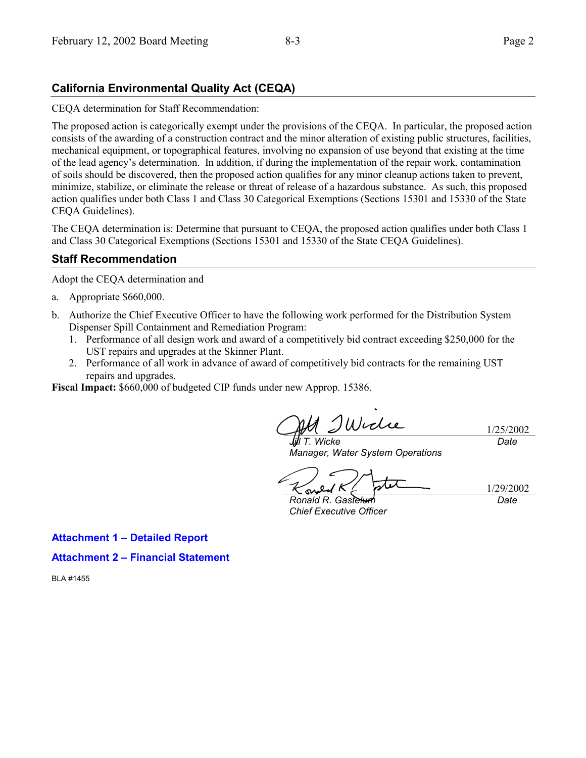## **California Environmental Quality Act (CEQA)**

CEQA determination for Staff Recommendation:

The proposed action is categorically exempt under the provisions of the CEQA. In particular, the proposed action consists of the awarding of a construction contract and the minor alteration of existing public structures, facilities, mechanical equipment, or topographical features, involving no expansion of use beyond that existing at the time of the lead agencyís determination. In addition, if during the implementation of the repair work, contamination of soils should be discovered, then the proposed action qualifies for any minor cleanup actions taken to prevent, minimize, stabilize, or eliminate the release or threat of release of a hazardous substance. As such, this proposed action qualifies under both Class 1 and Class 30 Categorical Exemptions (Sections 15301 and 15330 of the State CEQA Guidelines).

The CEQA determination is: Determine that pursuant to CEQA, the proposed action qualifies under both Class 1 and Class 30 Categorical Exemptions (Sections 15301 and 15330 of the State CEQA Guidelines).

### **Staff Recommendation**

Adopt the CEQA determination and

- a. Appropriate \$660,000.
- b. Authorize the Chief Executive Officer to have the following work performed for the Distribution System Dispenser Spill Containment and Remediation Program:
	- 1. Performance of all design work and award of a competitively bid contract exceeding \$250,000 for the UST repairs and upgrades at the Skinner Plant.
	- 2. Performance of all work in advance of award of competitively bid contracts for the remaining UST repairs and upgrades.

**Fiscal Impact:** \$660,000 of budgeted CIP funds under new Approp. 15386.

Widie 1/25/2002 *Jill T. Wicke Date*

*Manager, Water System Operations*

1/29/2002 sw

*Ronald R. Gastelum Chief Executive Officer*

*Date*

**Attachment 1 - Detailed Report** 

**Attachment 2 - Financial Statement** 

BLA #1455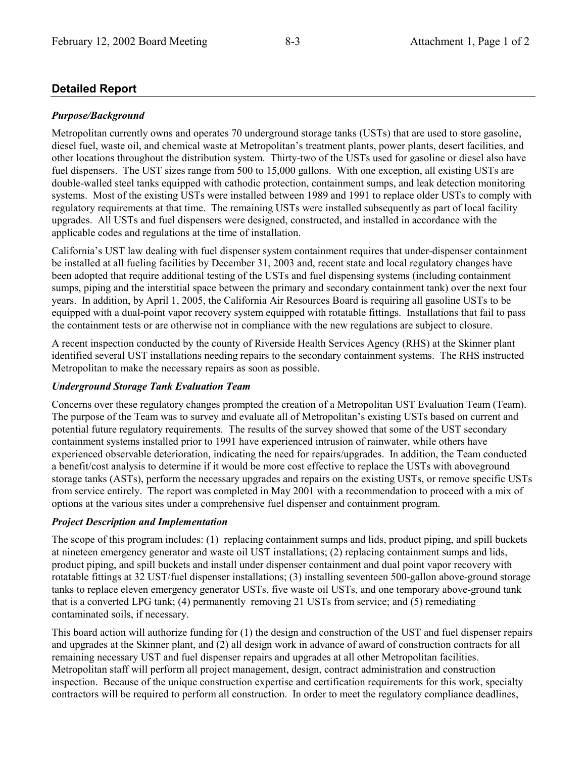## **Detailed Report**

#### *Purpose/Background*

Metropolitan currently owns and operates 70 underground storage tanks (USTs) that are used to store gasoline, diesel fuel, waste oil, and chemical waste at Metropolitan's treatment plants, power plants, desert facilities, and other locations throughout the distribution system. Thirty-two of the USTs used for gasoline or diesel also have fuel dispensers. The UST sizes range from 500 to 15,000 gallons. With one exception, all existing USTs are double-walled steel tanks equipped with cathodic protection, containment sumps, and leak detection monitoring systems. Most of the existing USTs were installed between 1989 and 1991 to replace older USTs to comply with regulatory requirements at that time. The remaining USTs were installed subsequently as part of local facility upgrades. All USTs and fuel dispensers were designed, constructed, and installed in accordance with the applicable codes and regulations at the time of installation.

Californiaís UST law dealing with fuel dispenser system containment requires that under-dispenser containment be installed at all fueling facilities by December 31, 2003 and, recent state and local regulatory changes have been adopted that require additional testing of the USTs and fuel dispensing systems (including containment sumps, piping and the interstitial space between the primary and secondary containment tank) over the next four years. In addition, by April 1, 2005, the California Air Resources Board is requiring all gasoline USTs to be equipped with a dual-point vapor recovery system equipped with rotatable fittings. Installations that fail to pass the containment tests or are otherwise not in compliance with the new regulations are subject to closure.

A recent inspection conducted by the county of Riverside Health Services Agency (RHS) at the Skinner plant identified several UST installations needing repairs to the secondary containment systems. The RHS instructed Metropolitan to make the necessary repairs as soon as possible.

#### *Underground Storage Tank Evaluation Team*

Concerns over these regulatory changes prompted the creation of a Metropolitan UST Evaluation Team (Team). The purpose of the Team was to survey and evaluate all of Metropolitan's existing USTs based on current and potential future regulatory requirements. The results of the survey showed that some of the UST secondary containment systems installed prior to 1991 have experienced intrusion of rainwater, while others have experienced observable deterioration, indicating the need for repairs/upgrades. In addition, the Team conducted a benefit/cost analysis to determine if it would be more cost effective to replace the USTs with aboveground storage tanks (ASTs), perform the necessary upgrades and repairs on the existing USTs, or remove specific USTs from service entirely. The report was completed in May 2001 with a recommendation to proceed with a mix of options at the various sites under a comprehensive fuel dispenser and containment program.

#### *Project Description and Implementation*

The scope of this program includes: (1) replacing containment sumps and lids, product piping, and spill buckets at nineteen emergency generator and waste oil UST installations; (2) replacing containment sumps and lids, product piping, and spill buckets and install under dispenser containment and dual point vapor recovery with rotatable fittings at 32 UST/fuel dispenser installations; (3) installing seventeen 500-gallon above-ground storage tanks to replace eleven emergency generator USTs, five waste oil USTs, and one temporary above-ground tank that is a converted LPG tank; (4) permanently removing 21 USTs from service; and (5) remediating contaminated soils, if necessary.

This board action will authorize funding for (1) the design and construction of the UST and fuel dispenser repairs and upgrades at the Skinner plant, and (2) all design work in advance of award of construction contracts for all remaining necessary UST and fuel dispenser repairs and upgrades at all other Metropolitan facilities. Metropolitan staff will perform all project management, design, contract administration and construction inspection. Because of the unique construction expertise and certification requirements for this work, specialty contractors will be required to perform all construction. In order to meet the regulatory compliance deadlines,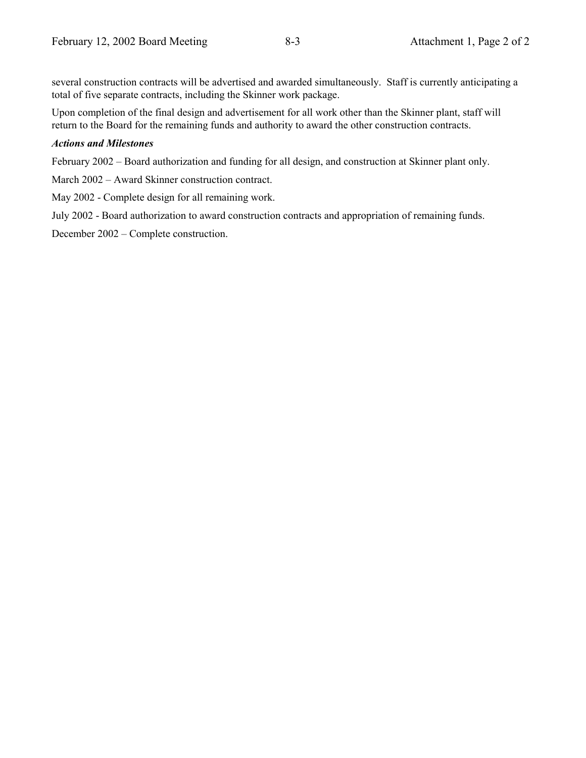several construction contracts will be advertised and awarded simultaneously. Staff is currently anticipating a total of five separate contracts, including the Skinner work package.

Upon completion of the final design and advertisement for all work other than the Skinner plant, staff will return to the Board for the remaining funds and authority to award the other construction contracts.

#### *Actions and Milestones*

February 2002 – Board authorization and funding for all design, and construction at Skinner plant only.

March 2002 – Award Skinner construction contract.

May 2002 - Complete design for all remaining work.

July 2002 - Board authorization to award construction contracts and appropriation of remaining funds.

December 2002 – Complete construction.